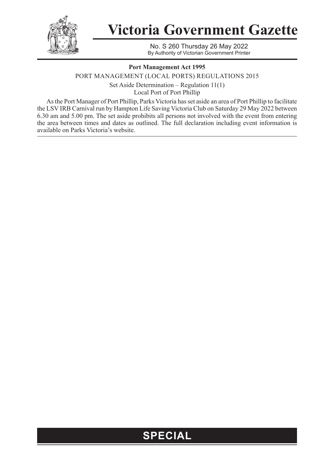

## **Victoria Government Gazette**

No. S 260 Thursday 26 May 2022 By Authority of Victorian Government Printer

## **Port Management Act 1995**

PORT MANAGEMENT (LOCAL PORTS) REGULATIONS 2015 Set Aside Determination – Regulation 11(1) Local Port of Port Phillip

As the Port Manager of Port Phillip, Parks Victoria has set aside an area of Port Phillip to facilitate the LSV IRB Carnival run by Hampton Life Saving Victoria Club on Saturday 29 May 2022 between 6.30 am and 5.00 pm. The set aside prohibits all persons not involved with the event from entering the area between times and dates as outlined. The full declaration including event information is available on Parks Victoria's website.

## **SPECIAL**